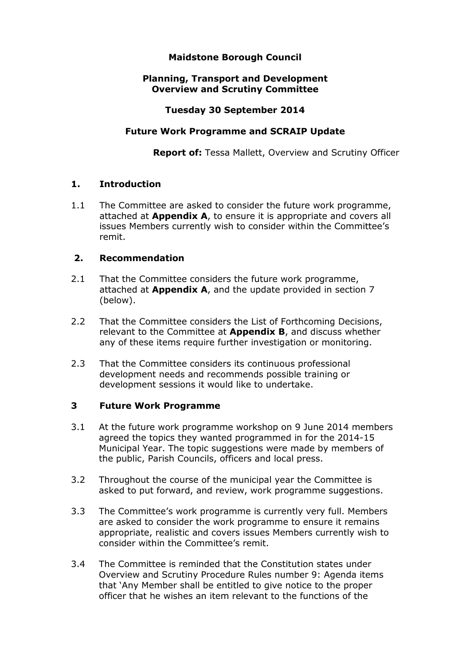# **Maidstone Borough Council**

# **Planning, Transport and Development Overview and Scrutiny Committee**

## **Tuesday 30 September 2014**

## **Future Work Programme and SCRAIP Update**

**Report of:** Tessa Mallett, Overview and Scrutiny Officer

## **1. Introduction**

1.1 The Committee are asked to consider the future work programme, attached at **Appendix A**, to ensure it is appropriate and covers all issues Members currently wish to consider within the Committee's remit.

## **2. Recommendation**

- 2.1 That the Committee considers the future work programme, attached at **Appendix A**, and the update provided in section 7 (below).
- 2.2 That the Committee considers the List of Forthcoming Decisions, relevant to the Committee at **Appendix B**, and discuss whether any of these items require further investigation or monitoring.
- 2.3 That the Committee considers its continuous professional development needs and recommends possible training or development sessions it would like to undertake.

# **3 Future Work Programme**

- 3.1 At the future work programme workshop on 9 June 2014 members agreed the topics they wanted programmed in for the 2014-15 Municipal Year. The topic suggestions were made by members of the public, Parish Councils, officers and local press.
- 3.2 Throughout the course of the municipal year the Committee is asked to put forward, and review, work programme suggestions.
- 3.3 The Committee's work programme is currently very full. Members are asked to consider the work programme to ensure it remains appropriate, realistic and covers issues Members currently wish to consider within the Committee's remit.
- 3.4 The Committee is reminded that the Constitution states under Overview and Scrutiny Procedure Rules number 9: Agenda items that 'Any Member shall be entitled to give notice to the proper officer that he wishes an item relevant to the functions of the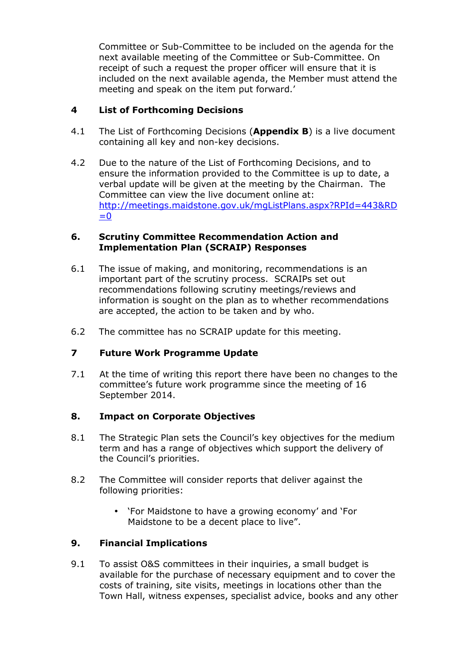Committee or Sub-Committee to be included on the agenda for the next available meeting of the Committee or Sub-Committee. On receipt of such a request the proper officer will ensure that it is included on the next available agenda, the Member must attend the meeting and speak on the item put forward.'

# **4 List of Forthcoming Decisions**

- 4.1 The List of Forthcoming Decisions (**Appendix B**) is a live document containing all key and non-key decisions.
- 4.2 Due to the nature of the List of Forthcoming Decisions, and to ensure the information provided to the Committee is up to date, a verbal update will be given at the meeting by the Chairman. The Committee can view the live document online at: http://meetings.maidstone.gov.uk/mgListPlans.aspx?RPId=443&RD  $=0$

#### **6. Scrutiny Committee Recommendation Action and Implementation Plan (SCRAIP) Responses**

- 6.1 The issue of making, and monitoring, recommendations is an important part of the scrutiny process. SCRAIPs set out recommendations following scrutiny meetings/reviews and information is sought on the plan as to whether recommendations are accepted, the action to be taken and by who.
- 6.2 The committee has no SCRAIP update for this meeting.

# **7 Future Work Programme Update**

7.1 At the time of writing this report there have been no changes to the committee's future work programme since the meeting of 16 September 2014.

# **8. Impact on Corporate Objectives**

- 8.1 The Strategic Plan sets the Council's key objectives for the medium term and has a range of objectives which support the delivery of the Council's priorities.
- 8.2 The Committee will consider reports that deliver against the following priorities:
	- 'For Maidstone to have a growing economy' and 'For Maidstone to be a decent place to live".

# **9. Financial Implications**

9.1 To assist O&S committees in their inquiries, a small budget is available for the purchase of necessary equipment and to cover the costs of training, site visits, meetings in locations other than the Town Hall, witness expenses, specialist advice, books and any other